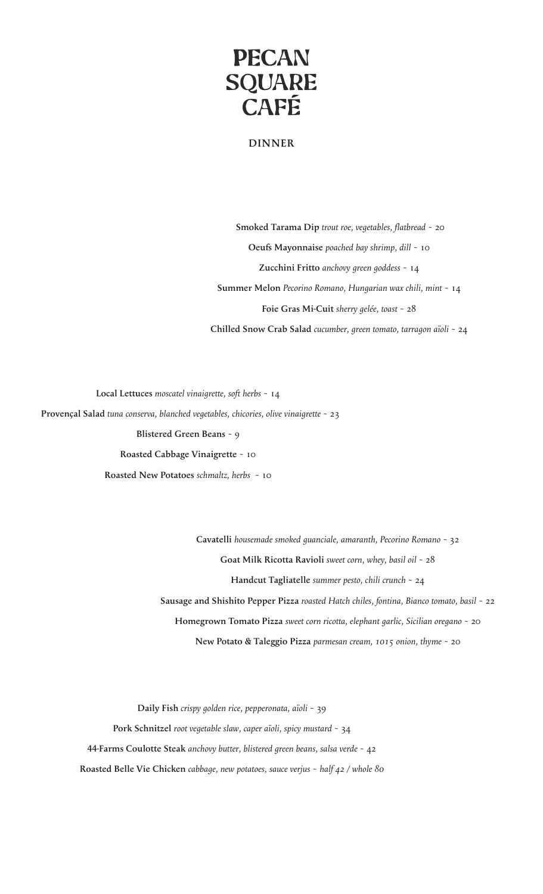

## **DINNER**

 **Smoked Tarama Dip** *trout roe, vegetables, flatbread* ~ 20 **Oeufs Mayonnaise** *poached bay shrimp, dill* ~ 10 **Zucchini Fritto** *anchovy green goddess* ~ 14 **Summer Melon** *Pecorino Romano, Hungarian wax chili, mint* ~ 14 **Foie Gras Mi-Cuit** *sherry gelée, toast* ~ 28 **Chilled Snow Crab Salad** *cucumber, green tomato, tarragon aïoli* ~ 24

**Local Lettuces** *moscatel vinaigrette, soft herbs* ~ 14  **Provençal Salad** *tuna conserva, blanched vegetables, chicories, olive vinaigrette* ~ 23 **Blistered Green Beans** ~ 9 **Roasted Cabbage Vinaigrette** ~ 10 **Roasted New Potatoes** *schmaltz, herbs* ~ 10

> **Cavatelli** *housemade smoked guanciale, amaranth, Pecorino Romano* ~ 32 **Goat Milk Ricotta Ravioli** *sweet corn, whey, basil oil* ~ 28 **Handcut Tagliatelle** *summer pesto, chili crunch* ~ 24 **Sausage and Shishito Pepper Pizza** *roasted Hatch chiles, fontina, Bianco tomato, basil* ~ 22 **Homegrown Tomato Pizza** *sweet corn ricotta, elephant garlic, Sicilian oregano* ~ 20 **New Potato & Taleggio Pizza** *parmesan cream, 1015 onion, thyme* ~ 20

**Daily Fish** *crispy golden rice, pepperonata, aïoli* ~ 39 **Pork Schnitzel** *root vegetable slaw, caper aïoli, spicy mustard* ~ 34 **44-Farms Coulotte Steak** *anchovy butter, blistered green beans, salsa verde* ~ 42 **Roasted Belle Vie Chicken** *cabbage, new potatoes, sauce verjus* ~ *half 42 / whole 80*